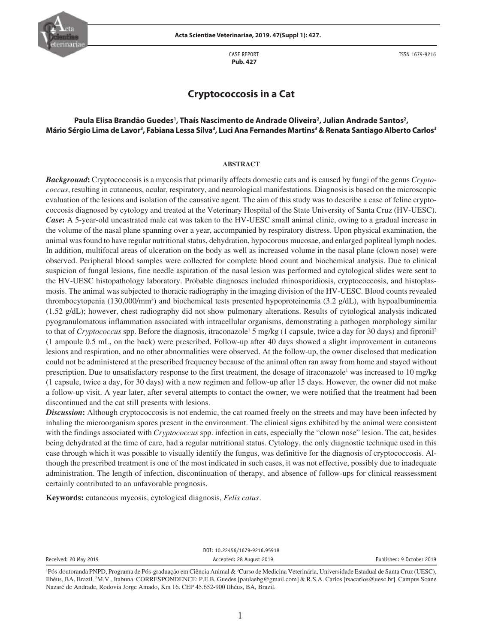

CASE REPORT  **Pub. 427**

ISSN 1679-9216

# **Cryptococcosis in a Cat**

## Paula Elisa Brandão Guedes<sup>1</sup>, Thaís Nascimento de Andrade Oliveira<sup>2</sup>, Julian Andrade Santos<sup>2</sup>, Mário Sérgio Lima de Lavor<sup>3</sup>, Fabiana Lessa Silva<sup>3</sup>, Luci Ana Fernandes Martins<sup>3</sup> & Renata Santiago Alberto Carlos<sup>3</sup>

#### **ABSTRACT**

*Background***:** Cryptococcosis is a mycosis that primarily affects domestic cats and is caused by fungi of the genus *Cryptococcus*, resulting in cutaneous, ocular, respiratory, and neurological manifestations. Diagnosis is based on the microscopic evaluation of the lesions and isolation of the causative agent. The aim of this study was to describe a case of feline cryptococcosis diagnosed by cytology and treated at the Veterinary Hospital of the State University of Santa Cruz (HV-UESC). *Case***:** A 5-year-old uncastrated male cat was taken to the HV-UESC small animal clinic, owing to a gradual increase in the volume of the nasal plane spanning over a year, accompanied by respiratory distress. Upon physical examination, the animal was found to have regular nutritional status, dehydration, hypocorous mucosae, and enlarged popliteal lymph nodes. In addition, multifocal areas of ulceration on the body as well as increased volume in the nasal plane (clown nose) were observed. Peripheral blood samples were collected for complete blood count and biochemical analysis. Due to clinical suspicion of fungal lesions, fine needle aspiration of the nasal lesion was performed and cytological slides were sent to the HV-UESC histopathology laboratory. Probable diagnoses included rhinosporidiosis, cryptococcosis, and histoplasmosis. The animal was subjected to thoracic radiography in the imaging division of the HV-UESC. Blood counts revealed thrombocytopenia (130,000/mm<sup>3</sup>) and biochemical tests presented hypoproteinemia (3.2 g/dL), with hypoalbuminemia (1.52 g/dL); however, chest radiography did not show pulmonary alterations. Results of cytological analysis indicated pyogranulomatous inflammation associated with intracellular organisms, demonstrating a pathogen morphology similar to that of *Cryptococcus* spp. Before the diagnosis, itraconazole<sup>1</sup> 5 mg/kg (1 capsule, twice a day for 30 days) and fipronil<sup>2</sup> (1 ampoule 0.5 mL, on the back) were prescribed. Follow-up after 40 days showed a slight improvement in cutaneous lesions and respiration, and no other abnormalities were observed. At the follow-up, the owner disclosed that medication could not be administered at the prescribed frequency because of the animal often ran away from home and stayed without prescription. Due to unsatisfactory response to the first treatment, the dosage of itraconazole<sup>1</sup> was increased to 10 mg/kg (1 capsule, twice a day, for 30 days) with a new regimen and follow-up after 15 days. However, the owner did not make a follow-up visit. A year later, after several attempts to contact the owner, we were notified that the treatment had been discontinued and the cat still presents with lesions.

*Discussion***:** Although cryptococcosis is not endemic, the cat roamed freely on the streets and may have been infected by inhaling the microorganism spores present in the environment. The clinical signs exhibited by the animal were consistent with the findings associated with *Cryptococcus* spp. infection in cats, especially the "clown nose" lesion. The cat, besides being dehydrated at the time of care, had a regular nutritional status. Cytology, the only diagnostic technique used in this case through which it was possible to visually identify the fungus, was definitive for the diagnosis of cryptococcosis. Although the prescribed treatment is one of the most indicated in such cases, it was not effective, possibly due to inadequate administration. The length of infection, discontinuation of therapy, and absence of follow-ups for clinical reassessment certainly contributed to an unfavorable prognosis.

**Keywords:** cutaneous mycosis, cytological diagnosis, *Felis catus.*

DOI: 10.22456/1679-9216.95918 Received: 20 May 2019 Accepted: 28 August 2019 Published: 9 October 2019

<sup>&</sup>lt;sup>1</sup>Pós-doutoranda PNPD, Programa de Pós-graduação em Ciência Animal & <sup>3</sup>Curso de Medicina Veterinária, Universidade Estadual de Santa Cruz (UESC), Ilhéus, BA, Brazil. <sup>2</sup>M.V., Itabuna. CORRESPONDENCE: P.E.B. Guedes [paulaebg@gmail.com] & R.S.A. Carlos [rsacarlos@uesc.br]. Campus Soane Nazaré de Andrade, Rodovia Jorge Amado, Km 16. CEP 45.652-900 Ilhéus, BA, Brazil.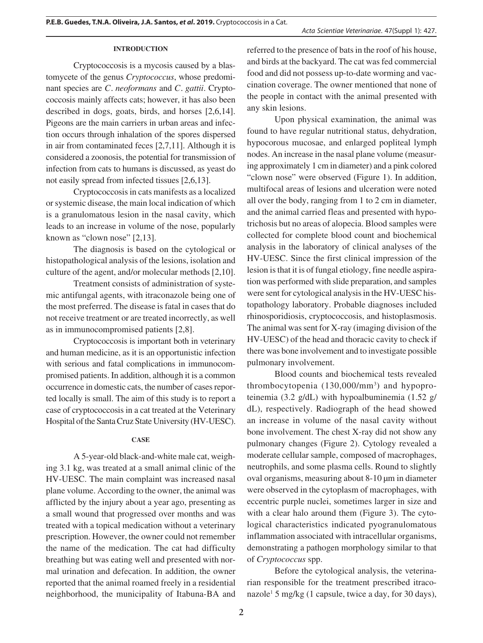## **INTRODUCTION**

Cryptococcosis is a mycosis caused by a blastomycete of the genus *Cryptococcus*, whose predominant species are *C. neoformans* and *C. gattii*. Cryptococcosis mainly affects cats; however, it has also been described in dogs, goats, birds, and horses [2,6,14]. Pigeons are the main carriers in urban areas and infection occurs through inhalation of the spores dispersed in air from contaminated feces [2,7,11]. Although it is considered a zoonosis, the potential for transmission of infection from cats to humans is discussed, as yeast do not easily spread from infected tissues [2,6,13].

Cryptococcosis in cats manifests as a localized or systemic disease, the main local indication of which is a granulomatous lesion in the nasal cavity, which leads to an increase in volume of the nose, popularly known as "clown nose" [2,13].

The diagnosis is based on the cytological or histopathological analysis of the lesions, isolation and culture of the agent, and/or molecular methods [2,10].

Treatment consists of administration of systemic antifungal agents, with itraconazole being one of the most preferred. The disease is fatal in cases that do not receive treatment or are treated incorrectly, as well as in immunocompromised patients [2,8].

Cryptococcosis is important both in veterinary and human medicine, as it is an opportunistic infection with serious and fatal complications in immunocompromised patients. In addition, although it is a common occurrence in domestic cats, the number of cases reported locally is small. The aim of this study is to report a case of cryptococcosis in a cat treated at the Veterinary Hospital of the Santa Cruz State University (HV-UESC).

#### **CASE**

A 5-year-old black-and-white male cat, weighing 3.1 kg, was treated at a small animal clinic of the HV-UESC. The main complaint was increased nasal plane volume. According to the owner, the animal was afflicted by the injury about a year ago, presenting as a small wound that progressed over months and was treated with a topical medication without a veterinary prescription. However, the owner could not remember the name of the medication. The cat had difficulty breathing but was eating well and presented with normal urination and defecation. In addition, the owner reported that the animal roamed freely in a residential neighborhood, the municipality of Itabuna-BA and referred to the presence of bats in the roof of his house, and birds at the backyard. The cat was fed commercial food and did not possess up-to-date worming and vaccination coverage. The owner mentioned that none of the people in contact with the animal presented with any skin lesions.

Upon physical examination, the animal was found to have regular nutritional status, dehydration, hypocorous mucosae, and enlarged popliteal lymph nodes. An increase in the nasal plane volume (measuring approximately 1 cm in diameter) and a pink colored "clown nose" were observed (Figure 1). In addition, multifocal areas of lesions and ulceration were noted all over the body, ranging from 1 to 2 cm in diameter, and the animal carried fleas and presented with hypotrichosis but no areas of alopecia. Blood samples were collected for complete blood count and biochemical analysis in the laboratory of clinical analyses of the HV-UESC. Since the first clinical impression of the lesion is that it is of fungal etiology, fine needle aspiration was performed with slide preparation, and samples were sent for cytological analysis in the HV-UESC histopathology laboratory. Probable diagnoses included rhinosporidiosis, cryptococcosis, and histoplasmosis. The animal was sent for X-ray (imaging division of the HV-UESC) of the head and thoracic cavity to check if there was bone involvement and to investigate possible pulmonary involvement.

Blood counts and biochemical tests revealed thrombocytopenia (130,000/mm<sup>3</sup>) and hypoproteinemia (3.2 g/dL) with hypoalbuminemia (1.52 g/ dL), respectively. Radiograph of the head showed an increase in volume of the nasal cavity without bone involvement. The chest X-ray did not show any pulmonary changes (Figure 2). Cytology revealed a moderate cellular sample, composed of macrophages, neutrophils, and some plasma cells. Round to slightly oval organisms, measuring about 8-10 μm in diameter were observed in the cytoplasm of macrophages, with eccentric purple nuclei, sometimes larger in size and with a clear halo around them (Figure 3). The cytological characteristics indicated pyogranulomatous inflammation associated with intracellular organisms, demonstrating a pathogen morphology similar to that of *Cryptococcus* spp.

Before the cytological analysis, the veterinarian responsible for the treatment prescribed itraconazole1 5 mg/kg (1 capsule, twice a day, for 30 days),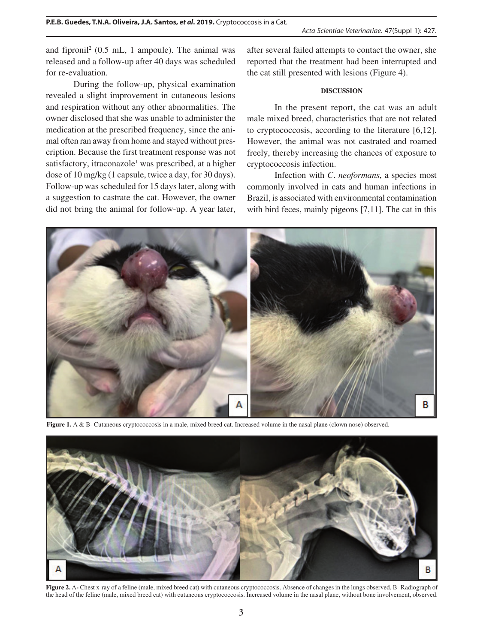and fipronil<sup>2</sup> (0.5 mL, 1 ampoule). The animal was released and a follow-up after 40 days was scheduled for re-evaluation.

During the follow-up, physical examination revealed a slight improvement in cutaneous lesions and respiration without any other abnormalities. The owner disclosed that she was unable to administer the medication at the prescribed frequency, since the animal often ran away from home and stayed without prescription. Because the first treatment response was not satisfactory, itraconazole<sup>1</sup> was prescribed, at a higher dose of 10 mg/kg (1 capsule, twice a day, for 30 days). Follow-up was scheduled for 15 days later, along with a suggestion to castrate the cat. However, the owner did not bring the animal for follow-up. A year later,

after several failed attempts to contact the owner, she reported that the treatment had been interrupted and the cat still presented with lesions (Figure 4).

### **DISCUSSION**

In the present report, the cat was an adult male mixed breed, characteristics that are not related to cryptococcosis, according to the literature [6,12]. However, the animal was not castrated and roamed freely, thereby increasing the chances of exposure to cryptococcosis infection.

Infection with *C. neoformans*, a species most commonly involved in cats and human infections in Brazil, is associated with environmental contamination with bird feces, mainly pigeons [7,11]. The cat in this



Figure 1. A & B- Cutaneous cryptococcosis in a male, mixed breed cat. Increased volume in the nasal plane (clown nose) observed.



**Figure 2.** A**-** Chest x-ray of a feline (male, mixed breed cat) with cutaneous cryptococcosis. Absence of changes in the lungs observed. B- Radiograph of the head of the feline (male, mixed breed cat) with cutaneous cryptococcosis. Increased volume in the nasal plane, without bone involvement, observed.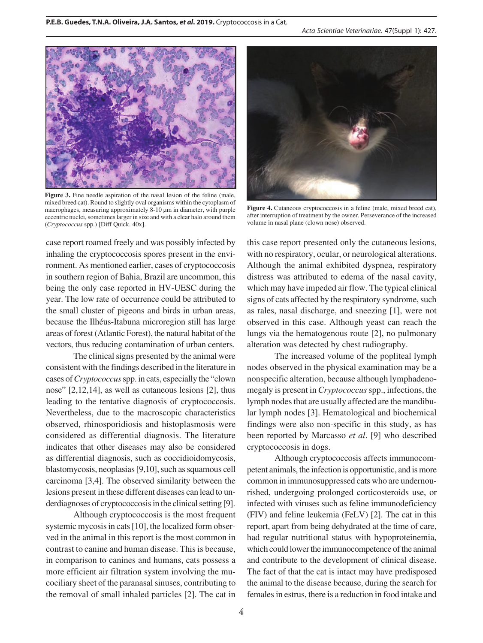

Figure 3. Fine needle aspiration of the nasal lesion of the feline (male, mixed breed cat). Round to slightly oval organisms within the cytoplasm of macrophages, measuring approximately 8-10 μm in diameter, with purple eccentric nuclei, sometimes larger in size and with a clear halo around them (*Cryptococcus* spp.) [Diff Quick. 40x].

case report roamed freely and was possibly infected by inhaling the cryptococcosis spores present in the environment. As mentioned earlier, cases of cryptococcosis in southern region of Bahia, Brazil are uncommon, this being the only case reported in HV-UESC during the year. The low rate of occurrence could be attributed to the small cluster of pigeons and birds in urban areas, because the Ilhéus-Itabuna microregion still has large areas of forest (Atlantic Forest), the natural habitat of the vectors, thus reducing contamination of urban centers.

The clinical signs presented by the animal were consistent with the findings described in the literature in cases of *Cryptococcus* spp. in cats, especially the "clown nose" [2,12,14], as well as cutaneous lesions [2], thus leading to the tentative diagnosis of cryptococcosis. Nevertheless, due to the macroscopic characteristics observed, rhinosporidiosis and histoplasmosis were considered as differential diagnosis. The literature indicates that other diseases may also be considered as differential diagnosis, such as coccidioidomycosis, blastomycosis, neoplasias [9,10], such as squamous cell carcinoma [3,4]. The observed similarity between the lesions present in these different diseases can lead to underdiagnoses of cryptococcosis in the clinical setting [9].

Although cryptococcosis is the most frequent systemic mycosis in cats [10], the localized form observed in the animal in this report is the most common in contrast to canine and human disease. This is because, in comparison to canines and humans, cats possess a more efficient air filtration system involving the mucociliary sheet of the paranasal sinuses, contributing to the removal of small inhaled particles [2]. The cat in



**Figure 4.** Cutaneous cryptococcosis in a feline (male, mixed breed cat), after interruption of treatment by the owner. Perseverance of the increased volume in nasal plane (clown nose) observed.

this case report presented only the cutaneous lesions, with no respiratory, ocular, or neurological alterations. Although the animal exhibited dyspnea, respiratory distress was attributed to edema of the nasal cavity, which may have impeded air flow. The typical clinical signs of cats affected by the respiratory syndrome, such as rales, nasal discharge, and sneezing [1], were not observed in this case. Although yeast can reach the lungs via the hematogenous route [2], no pulmonary alteration was detected by chest radiography.

The increased volume of the popliteal lymph nodes observed in the physical examination may be a nonspecific alteration, because although lymphadenomegaly is present in *Cryptococcus* spp., infections, the lymph nodes that are usually affected are the mandibular lymph nodes [3]. Hematological and biochemical findings were also non-specific in this study, as has been reported by Marcasso *et al*. [9] who described cryptococcosis in dogs.

Although cryptococcosis affects immunocompetent animals, the infection is opportunistic, and is more common in immunosuppressed cats who are undernourished, undergoing prolonged corticosteroids use, or infected with viruses such as feline immunodeficiency (FIV) and feline leukemia (FeLV) [2]. The cat in this report, apart from being dehydrated at the time of care, had regular nutritional status with hypoproteinemia, which could lower the immunocompetence of the animal and contribute to the development of clinical disease. The fact of that the cat is intact may have predisposed the animal to the disease because, during the search for females in estrus, there is a reduction in food intake and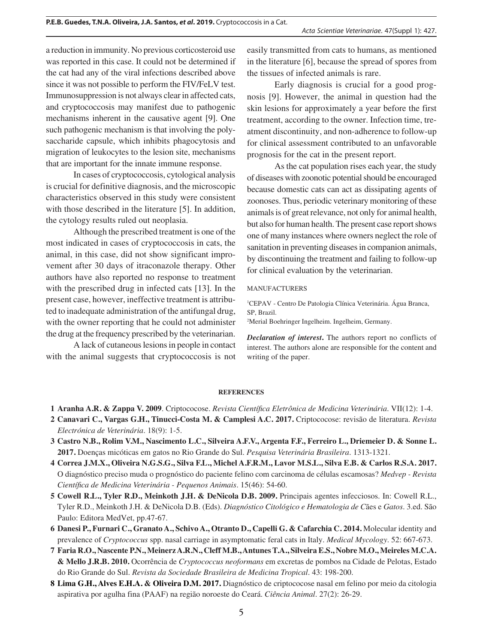a reduction in immunity. No previous corticosteroid use was reported in this case. It could not be determined if the cat had any of the viral infections described above since it was not possible to perform the FIV/FeLV test. Immunosuppression is not always clear in affected cats, and cryptococcosis may manifest due to pathogenic mechanisms inherent in the causative agent [9]. One such pathogenic mechanism is that involving the polysaccharide capsule, which inhibits phagocytosis and migration of leukocytes to the lesion site, mechanisms that are important for the innate immune response.

In cases of cryptococcosis, cytological analysis is crucial for definitive diagnosis, and the microscopic characteristics observed in this study were consistent with those described in the literature [5]. In addition, the cytology results ruled out neoplasia.

Although the prescribed treatment is one of the most indicated in cases of cryptococcosis in cats, the animal, in this case, did not show significant improvement after 30 days of itraconazole therapy. Other authors have also reported no response to treatment with the prescribed drug in infected cats [13]. In the present case, however, ineffective treatment is attributed to inadequate administration of the antifungal drug, with the owner reporting that he could not administer the drug at the frequency prescribed by the veterinarian.

A lack of cutaneous lesions in people in contact with the animal suggests that cryptococcosis is not

easily transmitted from cats to humans, as mentioned in the literature [6], because the spread of spores from the tissues of infected animals is rare.

Early diagnosis is crucial for a good prognosis [9]. However, the animal in question had the skin lesions for approximately a year before the first treatment, according to the owner. Infection time, treatment discontinuity, and non-adherence to follow-up for clinical assessment contributed to an unfavorable prognosis for the cat in the present report.

As the cat population rises each year, the study of diseases with zoonotic potential should be encouraged because domestic cats can act as dissipating agents of zoonoses. Thus, periodic veterinary monitoring of these animals is of great relevance, not only for animal health, but also for human health. The present case report shows one of many instances where owners neglect the role of sanitation in preventing diseases in companion animals, by discontinuing the treatment and failing to follow-up for clinical evaluation by the veterinarian.

#### MANUFACTURERS

1 CEPAV - Centro De Patologia Clínica Veterinária. Água Branca, SP, Brazil.

2 Merial Boehringer Ingelheim. Ingelheim, Germany.

*Declaration of interest***.** The authors report no conflicts of interest. The authors alone are responsible for the content and writing of the paper.

#### **REFERENCES**

**1 Aranha A.R. & Zappa V. 2009**. Criptococose. *Revista Científica Eletrônica de Medicina Veterinária*. VII(12): 1-4.

- **2 Canavari C., Vargas G.H., Tinucci-Costa M. & Camplesi A.C. 2017.** Criptococose: revisão de literatura. *Revista Electrónica de Veterinária*. 18(9): 1-5.
- **3 Castro N.B., Rolim V.M., Nascimento L.C., Silveira A.F.V., Argenta F.F., Ferreiro L., Driemeier D. & Sonne L. 2017.** Doenças micóticas em gatos no Rio Grande do Sul. *Pesquisa Veterinária Brasileira*. 1313-1321.
- **4 Correa J.M.X., Oliveira N.G.S.G., Silva F.L., Michel A.F.R.M., Lavor M.S.L., Silva E.B. & Carlos R.S.A. 2017.** O diagnóstico preciso muda o prognóstico do paciente felino com carcinoma de células escamosas? *Medvep - Revista Científica de Medicina Veterinária - Pequenos Animais*. 15(46): 54-60.
- **5 Cowell R.L., Tyler R.D., Meinkoth J.H. & DeNicola D.B. 2009.** Principais agentes infecciosos. In: Cowell R.L., Tyler R.D., Meinkoth J.H. & DeNicola D.B. (Eds). *Diagnóstico Citológico e Hematologia de C*ães e *Gatos*. 3.ed. São Paulo: Editora MedVet, pp.47-67.
- **6 Danesi P., Furnari C., Granato A., Schivo A., Otranto D., Capelli G. & Cafarchia C. 2014.** Molecular identity and prevalence of *Cryptococcus* spp. nasal carriage in asymptomatic feral cats in Italy. *Medical Mycology*. 52: 667-673.
- **7 Faria R.O., Nascente P.N., Meinerz A.R.N., Cleff M.B., Antunes T.A., Silveira E.S., Nobre M.O., Meireles M.C.A. & Mello J.R.B. 2010.** Ocorrência de *Cryptococcus neoformans* em excretas de pombos na Cidade de Pelotas, Estado do Rio Grande do Sul. *Revista da Sociedade Brasileira de Medicina Tropical*. 43: 198-200.
- **8 Lima G.H., Alves E.H.A. & Oliveira D.M. 2017.** Diagnóstico de criptococose nasal em felino por meio da citologia aspirativa por agulha fina (PAAF) na região noroeste do Ceará. *Ciência Animal*. 27(2): 26-29.